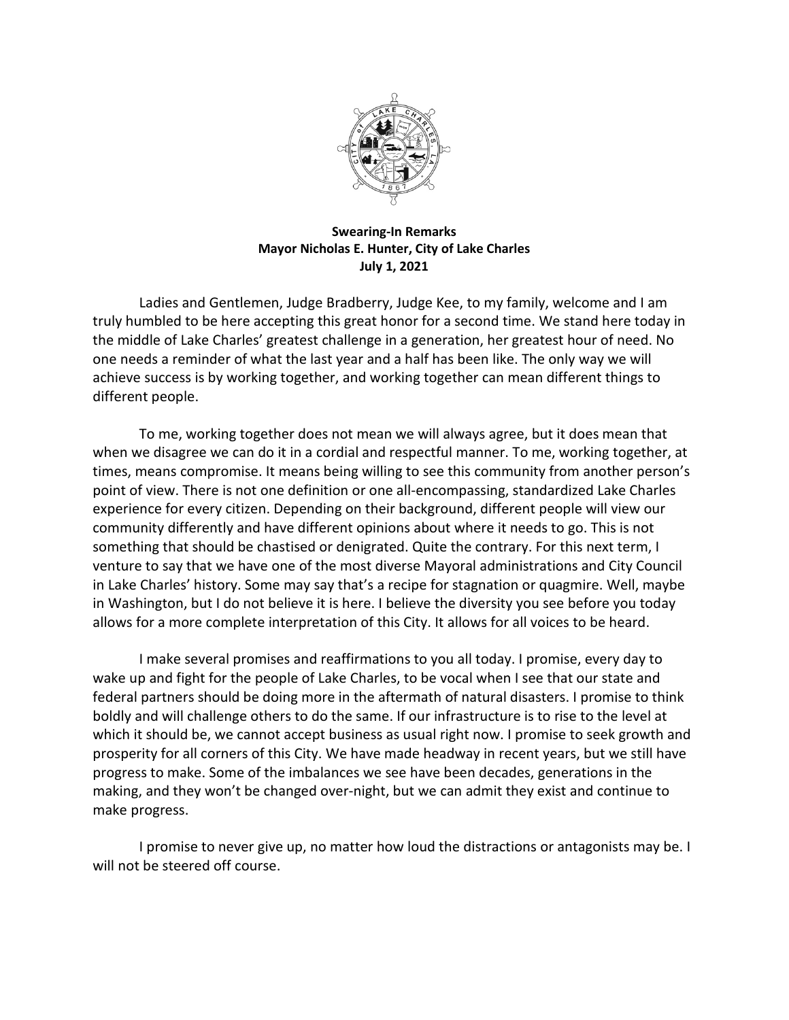

## **Swearing-In Remarks Mayor Nicholas E. Hunter, City of Lake Charles July 1, 2021**

Ladies and Gentlemen, Judge Bradberry, Judge Kee, to my family, welcome and I am truly humbled to be here accepting this great honor for a second time. We stand here today in the middle of Lake Charles' greatest challenge in a generation, her greatest hour of need. No one needs a reminder of what the last year and a half has been like. The only way we will achieve success is by working together, and working together can mean different things to different people.

To me, working together does not mean we will always agree, but it does mean that when we disagree we can do it in a cordial and respectful manner. To me, working together, at times, means compromise. It means being willing to see this community from another person's point of view. There is not one definition or one all-encompassing, standardized Lake Charles experience for every citizen. Depending on their background, different people will view our community differently and have different opinions about where it needs to go. This is not something that should be chastised or denigrated. Quite the contrary. For this next term, I venture to say that we have one of the most diverse Mayoral administrations and City Council in Lake Charles' history. Some may say that's a recipe for stagnation or quagmire. Well, maybe in Washington, but I do not believe it is here. I believe the diversity you see before you today allows for a more complete interpretation of this City. It allows for all voices to be heard.

I make several promises and reaffirmations to you all today. I promise, every day to wake up and fight for the people of Lake Charles, to be vocal when I see that our state and federal partners should be doing more in the aftermath of natural disasters. I promise to think boldly and will challenge others to do the same. If our infrastructure is to rise to the level at which it should be, we cannot accept business as usual right now. I promise to seek growth and prosperity for all corners of this City. We have made headway in recent years, but we still have progress to make. Some of the imbalances we see have been decades, generations in the making, and they won't be changed over-night, but we can admit they exist and continue to make progress.

I promise to never give up, no matter how loud the distractions or antagonists may be. I will not be steered off course.